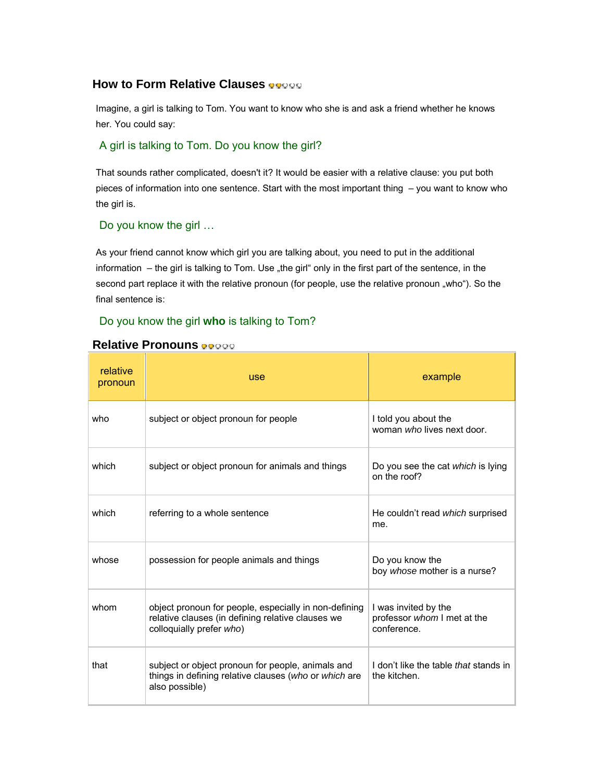# **How to Form Relative Clauses**

Imagine, a girl is talking to Tom. You want to know who she is and ask a friend whether he knows her. You could say:

## A girl is talking to Tom. Do you know the girl?

That sounds rather complicated, doesn't it? It would be easier with a relative clause: you put both pieces of information into one sentence. Start with the most important thing – you want to know who the girl is.

## Do you know the girl …

As your friend cannot know which girl you are talking about, you need to put in the additional information – the girl is talking to Tom. Use "the girl" only in the first part of the sentence, in the second part replace it with the relative pronoun (for people, use the relative pronoun "who"). So the final sentence is:

# Do you know the girl **who** is talking to Tom?

| relative<br>pronoun | <b>use</b>                                                                                                                             | example                                                            |
|---------------------|----------------------------------------------------------------------------------------------------------------------------------------|--------------------------------------------------------------------|
| who                 | subject or object pronoun for people                                                                                                   | I told you about the<br>woman who lives next door.                 |
| which               | subject or object pronoun for animals and things                                                                                       | Do you see the cat which is lying<br>on the roof?                  |
| which               | referring to a whole sentence                                                                                                          | He couldn't read <i>which</i> surprised<br>me.                     |
| whose               | possession for people animals and things                                                                                               | Do you know the<br>boy whose mother is a nurse?                    |
| whom                | object pronoun for people, especially in non-defining<br>relative clauses (in defining relative clauses we<br>colloquially prefer who) | I was invited by the<br>professor whom I met at the<br>conference. |
| that                | subject or object pronoun for people, animals and<br>things in defining relative clauses (who or which are<br>also possible)           | I don't like the table that stands in<br>the kitchen.              |

## **Relative Pronouns**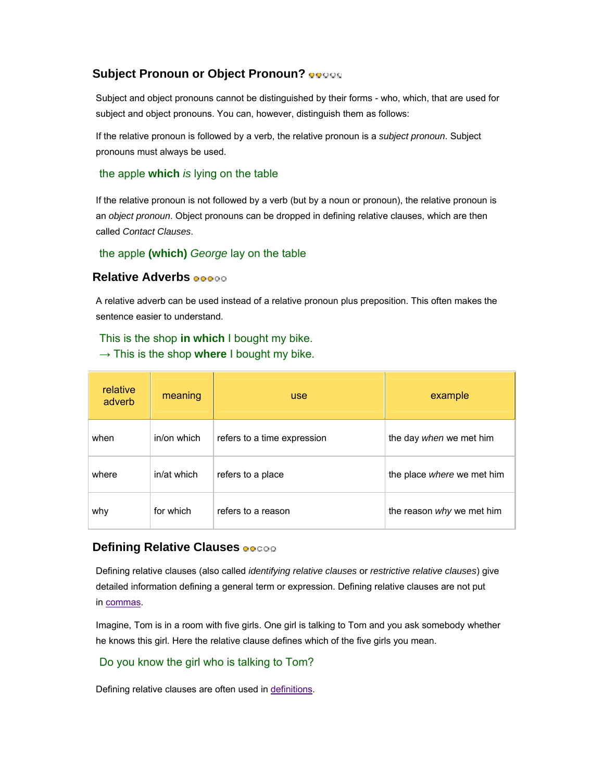# **Subject Pronoun or Object Pronoun?**

Subject and object pronouns cannot be distinguished by their forms - who, which, that are used for subject and object pronouns. You can, however, distinguish them as follows:

If the relative pronoun is followed by a verb, the relative pronoun is a *subject pronoun*. Subject pronouns must always be used.

## the apple **which** *is* lying on the table

If the relative pronoun is not followed by a verb (but by a noun or pronoun), the relative pronoun is an *object pronoun*. Object pronouns can be dropped in defining relative clauses, which are then called *Contact Clauses*.

#### the apple **(which)** *George* lay on the table

#### **Relative Adverbs**

A relative adverb can be used instead of a relative pronoun plus preposition. This often makes the sentence easier to understand.

#### This is the shop **in which** I bought my bike.

 $\rightarrow$  This is the shop where I bought my bike.

| relative<br>adverb | meaning     | <b>use</b>                  | example                    |
|--------------------|-------------|-----------------------------|----------------------------|
| when               | in/on which | refers to a time expression | the day when we met him    |
| where              | in/at which | refers to a place           | the place where we met him |
| why                | for which   | refers to a reason          | the reason why we met him  |

## **Defining Relative Clauses**

Defining relative clauses (also called *identifying relative clauses* or *restrictive relative clauses*) give detailed information defining a general term or expression. Defining relative clauses are not put in commas.

Imagine, Tom is in a room with five girls. One girl is talking to Tom and you ask somebody whether he knows this girl. Here the relative clause defines which of the five girls you mean.

#### Do you know the girl who is talking to Tom?

Defining relative clauses are often used in definitions.